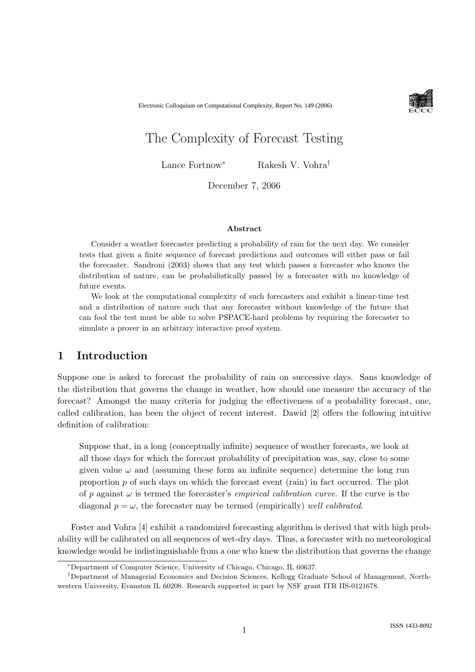Electronic Colloquium on Computational Complexity, Report No. 149 (2006)



# The Complexity of Forecast Testing

Lance Fortnow<sup>∗</sup> Rakesh V. Vohra†

December 7, 2006

#### Abstract

Consider a weather forecaster predicting a probability of rain for the next day. We consider tests that given a finite sequence of forecast predictions and outcomes will either pass or fail the forecaster. Sandroni (2003) shows that any test which passes a forecaster who knows the distribution of nature, can be probabilistically passed by a forecaster with no knowledge of future events.

We look at the computational complexity of such forecasters and exhibit a linear-time test and a distribution of nature such that any forecaster without knowledge of the future that can fool the test must be able to solve PSPACE-hard problems by requiring the forecaster to simulate a prover in an arbitrary interactive proof system.

# 1 Introduction

Suppose one is asked to forecast the probability of rain on successive days. Sans knowledge of the distribution that governs the change in weather, how should one measure the accuracy of the forecast? Amongst the many criteria for judging the effectiveness of a probability forecast, one, called calibration, has been the object of recent interest. Dawid [2] offers the following intuitive definition of calibration:

Suppose that, in a long (conceptually infinite) sequence of weather forecasts, we look at all those days for which the forecast probability of precipitation was, say, close to some given value  $\omega$  and (assuming these form an infinite sequence) determine the long run proportion  $p$  of such days on which the forecast event (rain) in fact occurred. The plot of p against  $\omega$  is termed the forecaster's *empirical calibration curve*. If the curve is the diagonal  $p = \omega$ , the forecaster may be termed (empirically) well calibrated.

Foster and Vohra [4] exhibit a randomized forecasting algorithm is derived that with high probability will be calibrated on all sequences of wet-dry days. Thus, a forecaster with no meteorological knowledge would be indistinguishable from a one who knew the distribution that governs the change

<sup>∗</sup>Department of Computer Science, University of Chicago, Chicago, IL 60637.

<sup>†</sup>Department of Managerial Economics and Decision Sciences, Kellogg Graduate School of Management, Northwestern University, Evanston IL 60208. Research supported in part by NSF grant ITR IIS-0121678.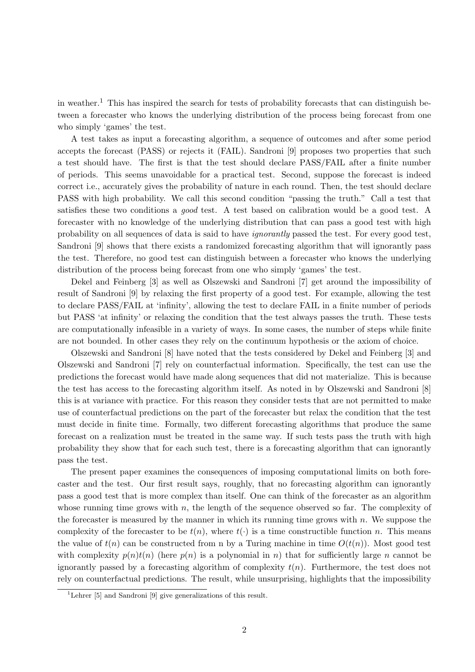in weather.<sup>1</sup> This has inspired the search for tests of probability forecasts that can distinguish between a forecaster who knows the underlying distribution of the process being forecast from one who simply 'games' the test.

A test takes as input a forecasting algorithm, a sequence of outcomes and after some period accepts the forecast (PASS) or rejects it (FAIL). Sandroni [9] proposes two properties that such a test should have. The first is that the test should declare PASS/FAIL after a finite number of periods. This seems unavoidable for a practical test. Second, suppose the forecast is indeed correct i.e., accurately gives the probability of nature in each round. Then, the test should declare PASS with high probability. We call this second condition "passing the truth." Call a test that satisfies these two conditions a good test. A test based on calibration would be a good test. A forecaster with no knowledge of the underlying distribution that can pass a good test with high probability on all sequences of data is said to have ignorantly passed the test. For every good test, Sandroni [9] shows that there exists a randomized forecasting algorithm that will ignorantly pass the test. Therefore, no good test can distinguish between a forecaster who knows the underlying distribution of the process being forecast from one who simply 'games' the test.

Dekel and Feinberg [3] as well as Olszewski and Sandroni [7] get around the impossibility of result of Sandroni [9] by relaxing the first property of a good test. For example, allowing the test to declare PASS/FAIL at 'infinity', allowing the test to declare FAIL in a finite number of periods but PASS 'at infinity' or relaxing the condition that the test always passes the truth. These tests are computationally infeasible in a variety of ways. In some cases, the number of steps while finite are not bounded. In other cases they rely on the continuum hypothesis or the axiom of choice.

Olszewski and Sandroni [8] have noted that the tests considered by Dekel and Feinberg [3] and Olszewski and Sandroni [7] rely on counterfactual information. Specifically, the test can use the predictions the forecast would have made along sequences that did not materialize. This is because the test has access to the forecasting algorithm itself. As noted in by Olszewski and Sandroni [8] this is at variance with practice. For this reason they consider tests that are not permitted to make use of counterfactual predictions on the part of the forecaster but relax the condition that the test must decide in finite time. Formally, two different forecasting algorithms that produce the same forecast on a realization must be treated in the same way. If such tests pass the truth with high probability they show that for each such test, there is a forecasting algorithm that can ignorantly pass the test.

The present paper examines the consequences of imposing computational limits on both forecaster and the test. Our first result says, roughly, that no forecasting algorithm can ignorantly pass a good test that is more complex than itself. One can think of the forecaster as an algorithm whose running time grows with  $n$ , the length of the sequence observed so far. The complexity of the forecaster is measured by the manner in which its running time grows with  $n$ . We suppose the complexity of the forecaster to be  $t(n)$ , where  $t(\cdot)$  is a time constructible function n. This means the value of  $t(n)$  can be constructed from n by a Turing machine in time  $O(t(n))$ . Most good test with complexity  $p(n)t(n)$  (here  $p(n)$  is a polynomial in n) that for sufficiently large n cannot be ignorantly passed by a forecasting algorithm of complexity  $t(n)$ . Furthermore, the test does not rely on counterfactual predictions. The result, while unsurprising, highlights that the impossibility

<sup>&</sup>lt;sup>1</sup>Lehrer [5] and Sandroni [9] give generalizations of this result.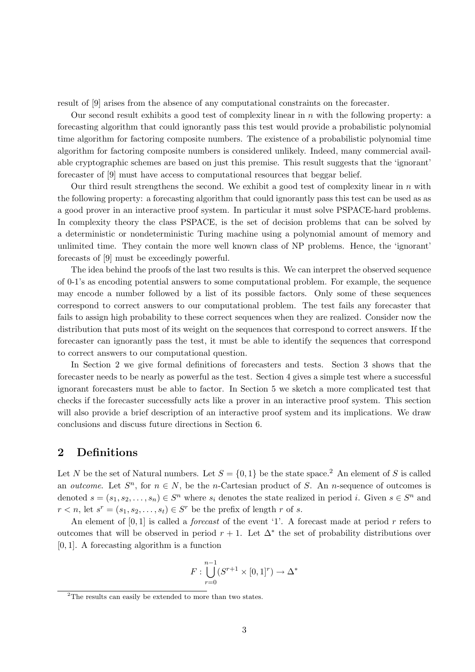result of [9] arises from the absence of any computational constraints on the forecaster.

Our second result exhibits a good test of complexity linear in  $n$  with the following property: a forecasting algorithm that could ignorantly pass this test would provide a probabilistic polynomial time algorithm for factoring composite numbers. The existence of a probabilistic polynomial time algorithm for factoring composite numbers is considered unlikely. Indeed, many commercial available cryptographic schemes are based on just this premise. This result suggests that the 'ignorant' forecaster of [9] must have access to computational resources that beggar belief.

Our third result strengthens the second. We exhibit a good test of complexity linear in  $n$  with the following property: a forecasting algorithm that could ignorantly pass this test can be used as as a good prover in an interactive proof system. In particular it must solve PSPACE-hard problems. In complexity theory the class PSPACE, is the set of decision problems that can be solved by a deterministic or nondeterministic Turing machine using a polynomial amount of memory and unlimited time. They contain the more well known class of NP problems. Hence, the 'ignorant' forecasts of [9] must be exceedingly powerful.

The idea behind the proofs of the last two results is this. We can interpret the observed sequence of 0-1's as encoding potential answers to some computational problem. For example, the sequence may encode a number followed by a list of its possible factors. Only some of these sequences correspond to correct answers to our computational problem. The test fails any forecaster that fails to assign high probability to these correct sequences when they are realized. Consider now the distribution that puts most of its weight on the sequences that correspond to correct answers. If the forecaster can ignorantly pass the test, it must be able to identify the sequences that correspond to correct answers to our computational question.

In Section 2 we give formal definitions of forecasters and tests. Section 3 shows that the forecaster needs to be nearly as powerful as the test. Section 4 gives a simple test where a successful ignorant forecasters must be able to factor. In Section 5 we sketch a more complicated test that checks if the forecaster successfully acts like a prover in an interactive proof system. This section will also provide a brief description of an interactive proof system and its implications. We draw conclusions and discuss future directions in Section 6.

# 2 Definitions

Let N be the set of Natural numbers. Let  $S = \{0, 1\}$  be the state space.<sup>2</sup> An element of S is called an *outcome*. Let  $S^n$ , for  $n \in N$ , be the *n*-Cartesian product of S. An *n*-sequence of outcomes is denoted  $s = (s_1, s_2, \ldots, s_n) \in S^n$  where  $s_i$  denotes the state realized in period i. Given  $s \in S^n$  and  $r < n$ , let  $s^r = (s_1, s_2, \dots, s_t) \in S^r$  be the prefix of length r of s.

An element of  $[0, 1]$  is called a *forecast* of the event '1'. A forecast made at period r refers to outcomes that will be observed in period  $r + 1$ . Let  $\Delta^*$  the set of probability distributions over [0, 1]. A forecasting algorithm is a function

$$
F: \bigcup_{r=0}^{n-1} (S^{r+1} \times [0,1]^r) \to \Delta^*
$$

<sup>&</sup>lt;sup>2</sup>The results can easily be extended to more than two states.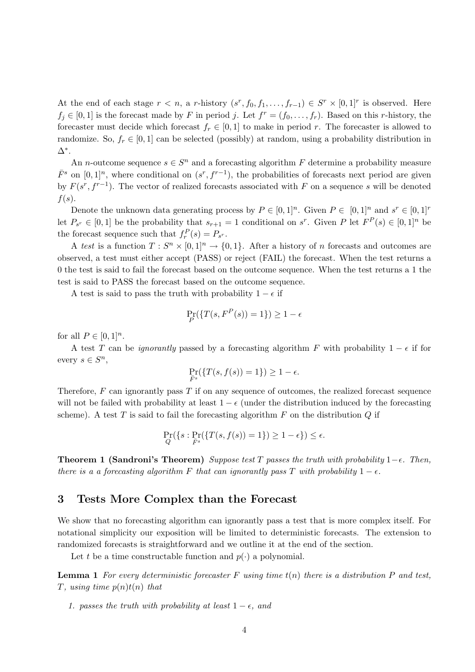At the end of each stage  $r < n$ , a r-history  $(s^r, f_0, f_1, \ldots, f_{r-1}) \in S^r \times [0, 1]^r$  is observed. Here  $f_j \in [0,1]$  is the forecast made by F in period j. Let  $f^r = (f_0, \ldots, f_r)$ . Based on this r-history, the forecaster must decide which forecast  $f_r \in [0,1]$  to make in period r. The forecaster is allowed to randomize. So,  $f_r \in [0,1]$  can be selected (possibly) at random, using a probability distribution in ∆∗ .

An *n*-outcome sequence  $s \in S^n$  and a forecasting algorithm F determine a probability measure  $\bar{F}^s$  on  $[0,1]^n$ , where conditional on  $(s^r, f^{r-1})$ , the probabilities of forecasts next period are given by  $F(s^r, f^{r-1})$ . The vector of realized forecasts associated with F on a sequence s will be denoted  $f(s)$ .

Denote the unknown data generating process by  $P \in [0,1]^n$ . Given  $P \in [0,1]^n$  and  $s^r \in [0,1]^r$ let  $P_{s^r} \in [0,1]$  be the probability that  $s_{r+1} = 1$  conditional on  $s^r$ . Given P let  $F^P(s) \in [0,1]^n$  be the forecast sequence such that  $f_r^P(s) = P_{s^r}$ .

A test is a function  $T: S^n \times [0,1]^n \to \{0,1\}$ . After a history of n forecasts and outcomes are observed, a test must either accept (PASS) or reject (FAIL) the forecast. When the test returns a 0 the test is said to fail the forecast based on the outcome sequence. When the test returns a 1 the test is said to PASS the forecast based on the outcome sequence.

A test is said to pass the truth with probability  $1 - \epsilon$  if

$$
\Pr_P(\{T(s, F^P(s)) = 1\}) \ge 1 - \epsilon
$$

for all  $P \in [0,1]^n$ .

A test T can be *ignorantly* passed by a forecasting algorithm F with probability  $1 - \epsilon$  if for every  $s \in S^n$ ,

$$
\Pr_{\bar{F}^s}(\{T(s,f(s))=1\})\geq 1-\epsilon.
$$

Therefore,  $F$  can ignorantly pass  $T$  if on any sequence of outcomes, the realized forecast sequence will not be failed with probability at least  $1 - \epsilon$  (under the distribution induced by the forecasting scheme). A test  $T$  is said to fail the forecasting algorithm  $F$  on the distribution  $Q$  if

$$
\Pr_{Q}(\{s: \Pr_{\bar{F}^s}(\{T(s, f(s)) = 1\}) \ge 1 - \epsilon\}) \le \epsilon.
$$

**Theorem 1 (Sandroni's Theorem)** Suppose test T passes the truth with probability  $1-\epsilon$ . Then, there is a a forecasting algorithm F that can ignorantly pass T with probability  $1 - \epsilon$ .

# 3 Tests More Complex than the Forecast

We show that no forecasting algorithm can ignorantly pass a test that is more complex itself. For notational simplicity our exposition will be limited to deterministic forecasts. The extension to randomized forecasts is straightforward and we outline it at the end of the section.

Let t be a time constructable function and  $p(\cdot)$  a polynomial.

**Lemma 1** For every deterministic forecaster F using time  $t(n)$  there is a distribution P and test, T, using time  $p(n)t(n)$  that

1. passes the truth with probability at least  $1 - \epsilon$ , and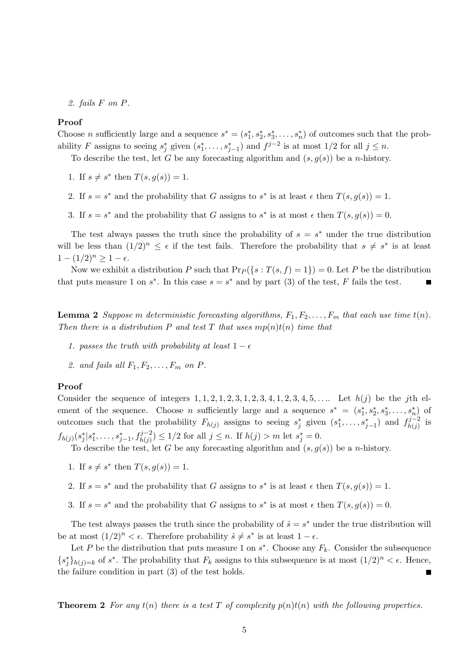2. fails F on P.

#### Proof

Choose *n* sufficiently large and a sequence  $s^* = (s_1^*, s_2^*, s_3^*, \ldots, s_n^*)$  of outcomes such that the probability F assigns to seeing  $s_j^*$  given  $(s_1^*, \ldots, s_{j-1}^*)$  and  $f^{j-2}$  is at most  $1/2$  for all  $j \leq n$ .

To describe the test, let G be any forecasting algorithm and  $(s, g(s))$  be a *n*-history.

- 1. If  $s \neq s^*$  then  $T(s, g(s)) = 1$ .
- 2. If  $s = s^*$  and the probability that G assigns to  $s^*$  is at least  $\epsilon$  then  $T(s, g(s)) = 1$ .
- 3. If  $s = s^*$  and the probability that G assigns to  $s^*$  is at most  $\epsilon$  then  $T(s, g(s)) = 0$ .

The test always passes the truth since the probability of  $s = s^*$  under the true distribution will be less than  $(1/2)^n \leq \epsilon$  if the test fails. Therefore the probability that  $s \neq s^*$  is at least  $1 - (1/2)^n \geq 1 - \epsilon.$ 

Now we exhibit a distribution P such that  $\Pr_P(\{s : T(s, f) = 1\}) = 0$ . Let P be the distribution that puts measure 1 on  $s^*$ . In this case  $s = s^*$  and by part (3) of the test, F fails the test.  $\blacksquare$ 

**Lemma 2** Suppose m deterministic forecasting algorithms,  $F_1, F_2, \ldots, F_m$  that each use time  $t(n)$ . Then there is a distribution P and test T that uses  $mp(n)t(n)$  time that

- 1. passes the truth with probability at least  $1 \epsilon$
- 2. and fails all  $F_1, F_2, \ldots, F_m$  on  $P$ .

#### Proof

Consider the sequence of integers  $1, 1, 2, 1, 2, 3, 1, 2, 3, 4, 1, 2, 3, 4, 5, \ldots$  Let  $h(j)$  be the jth element of the sequence. Choose *n* sufficiently large and a sequence  $s^* = (s_1^*, s_2^*, s_3^*, \ldots, s_n^*)$  of outcomes such that the probability  $F_{h(j)}$  assigns to seeing  $s_j^*$  given  $(s_1^*, \ldots, s_{j-1}^*)$  and  $f_{h(j)}^{j-2}$  is  $f_{h(j)}(s_j^*|s_1^*,\ldots,s_{j-1}^*,f_{h(j)}^{j-2}) \leq 1/2$  for all  $j \leq n$ . If  $h(j) > m$  let  $s_j^* = 0$ .

To describe the test, let G be any forecasting algorithm and  $(s, g(s))$  be a n-history.

- 1. If  $s \neq s^*$  then  $T(s, g(s)) = 1$ .
- 2. If  $s = s^*$  and the probability that G assigns to  $s^*$  is at least  $\epsilon$  then  $T(s, g(s)) = 1$ .
- 3. If  $s = s^*$  and the probability that G assigns to  $s^*$  is at most  $\epsilon$  then  $T(s, g(s)) = 0$ .

The test always passes the truth since the probability of  $\hat{s} = s^*$  under the true distribution will be at most  $(1/2)^n < \epsilon$ . Therefore probability  $\hat{s} \neq s^*$  is at least  $1 - \epsilon$ .

Let P be the distribution that puts measure 1 on  $s^*$ . Choose any  $F_k$ . Consider the subsequence  ${s_j^*}_{h(j)=k}$  of  $s^*$ . The probability that  $F_k$  assigns to this subsequence is at most  $(1/2)^n < \epsilon$ . Hence, the failure condition in part (3) of the test holds.  $\blacksquare$ 

**Theorem 2** For any  $t(n)$  there is a test T of complexity  $p(n)t(n)$  with the following properties.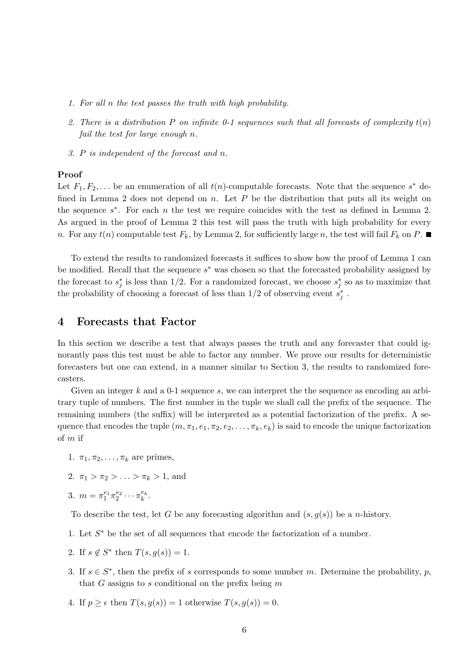- 1. For all n the test passes the truth with high probability.
- 2. There is a distribution P on infinite 0-1 sequences such that all forecasts of complexity  $t(n)$ fail the test for large enough n.
- 3. P is independent of the forecast and n.

#### Proof

Let  $F_1, F_2, \ldots$  be an enumeration of all  $t(n)$ -computable forecasts. Note that the sequence  $s^*$  defined in Lemma 2 does not depend on n. Let  $P$  be the distribution that puts all its weight on the sequence  $s^*$ . For each n the test we require coincides with the test as defined in Lemma 2. As argued in the proof of Lemma 2 this test will pass the truth with high probability for every n. For any  $t(n)$  computable test  $F_k$ , by Lemma 2, for sufficiently large n, the test will fail  $F_k$  on P.

To extend the results to randomized forecasts it suffices to show how the proof of Lemma 1 can be modified. Recall that the sequence  $s^*$  was chosen so that the forecasted probability assigned by the forecast to  $s_j^*$  is less than 1/2. For a randomized forecast, we choose  $s_j^*$  so as to maximize that the probability of choosing a forecast of less than  $1/2$  of observing event  $s_j^*$ .

### 4 Forecasts that Factor

In this section we describe a test that always passes the truth and any forecaster that could ignorantly pass this test must be able to factor any number. We prove our results for deterministic forecasters but one can extend, in a manner similar to Section 3, the results to randomized forecasters.

Given an integer k and a 0-1 sequence s, we can interpret the the sequence as encoding an arbitrary tuple of numbers. The first number in the tuple we shall call the prefix of the sequence. The remaining numbers (the suffix) will be interpreted as a potential factorization of the prefix. A sequence that encodes the tuple  $(m, \pi_1, e_1, \pi_2, e_2, \ldots, \pi_k, e_k)$  is said to encode the unique factorization of m if

- 1.  $\pi_1, \pi_2, \ldots, \pi_k$  are primes,
- 2.  $\pi_1 > \pi_2 > \ldots > \pi_k > 1$ , and
- 3.  $m = \pi_1^{e_1} \pi_2^{e_2}$  $e_2^{e_2}\cdots \pi_k^{e_k}$  $\frac{e_k}{k}$  .

To describe the test, let G be any forecasting algorithm and  $(s, q(s))$  be a *n*-history.

- 1. Let  $S^*$  be the set of all sequences that encode the factorization of a number.
- 2. If  $s \notin S^*$  then  $T(s, g(s)) = 1$ .
- 3. If  $s \in S^*$ , then the prefix of s corresponds to some number m. Determine the probability, p, that G assigns to s conditional on the prefix being  $m$
- 4. If  $p \geq \epsilon$  then  $T(s, g(s)) = 1$  otherwise  $T(s, g(s)) = 0$ .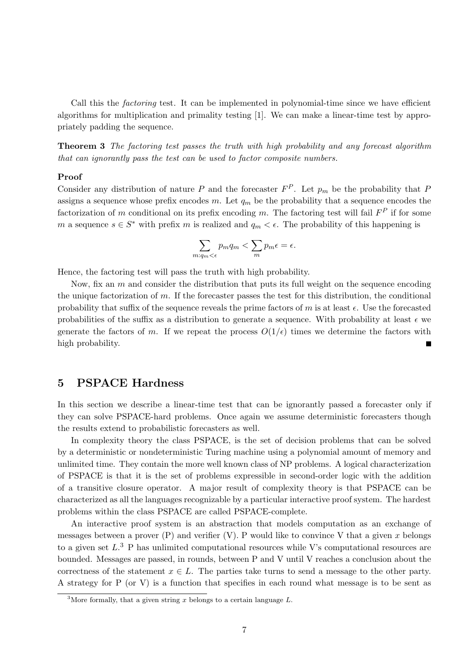Call this the factoring test. It can be implemented in polynomial-time since we have efficient algorithms for multiplication and primality testing [1]. We can make a linear-time test by appropriately padding the sequence.

Theorem 3 The factoring test passes the truth with high probability and any forecast algorithm that can ignorantly pass the test can be used to factor composite numbers.

#### Proof

Consider any distribution of nature P and the forecaster  $F^P$ . Let  $p_m$  be the probability that P assigns a sequence whose prefix encodes m. Let  $q_m$  be the probability that a sequence encodes the factorization of m conditional on its prefix encoding m. The factoring test will fail  $F^P$  if for some m a sequence  $s \in S^*$  with prefix m is realized and  $q_m < \epsilon$ . The probability of this happening is

$$
\sum_{m: q_m < \epsilon} p_m q_m < \sum_m p_m \epsilon = \epsilon.
$$

Hence, the factoring test will pass the truth with high probability.

Now, fix an  $m$  and consider the distribution that puts its full weight on the sequence encoding the unique factorization of m. If the forecaster passes the test for this distribution, the conditional probability that suffix of the sequence reveals the prime factors of m is at least  $\epsilon$ . Use the forecasted probabilities of the suffix as a distribution to generate a sequence. With probability at least  $\epsilon$  we generate the factors of m. If we repeat the process  $O(1/\epsilon)$  times we determine the factors with high probability.

## 5 PSPACE Hardness

In this section we describe a linear-time test that can be ignorantly passed a forecaster only if they can solve PSPACE-hard problems. Once again we assume deterministic forecasters though the results extend to probabilistic forecasters as well.

In complexity theory the class PSPACE, is the set of decision problems that can be solved by a deterministic or nondeterministic Turing machine using a polynomial amount of memory and unlimited time. They contain the more well known class of NP problems. A logical characterization of PSPACE is that it is the set of problems expressible in second-order logic with the addition of a transitive closure operator. A major result of complexity theory is that PSPACE can be characterized as all the languages recognizable by a particular interactive proof system. The hardest problems within the class PSPACE are called PSPACE-complete.

An interactive proof system is an abstraction that models computation as an exchange of messages between a prover  $(P)$  and verifier  $(V)$ . P would like to convince V that a given x belongs to a given set  $L^3$  P has unlimited computational resources while V's computational resources are bounded. Messages are passed, in rounds, between P and V until V reaches a conclusion about the correctness of the statement  $x \in L$ . The parties take turns to send a message to the other party. A strategy for P (or V) is a function that specifies in each round what message is to be sent as

<sup>&</sup>lt;sup>3</sup>More formally, that a given string x belongs to a certain language L.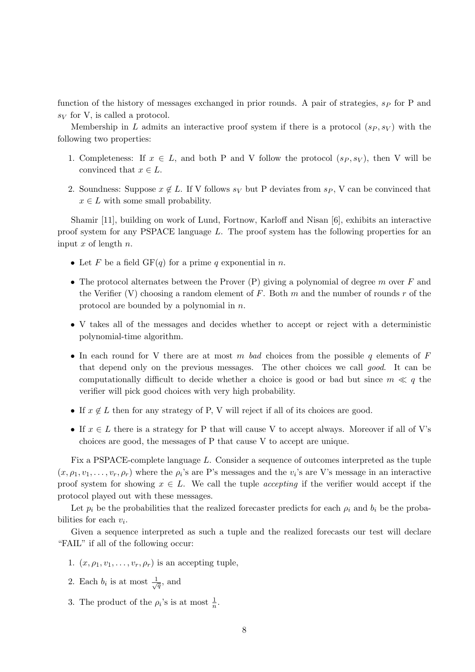function of the history of messages exchanged in prior rounds. A pair of strategies,  $s_P$  for P and  $s_V$  for V, is called a protocol.

Membership in L admits an interactive proof system if there is a protocol  $(s_P, s_V)$  with the following two properties:

- 1. Completeness: If  $x \in L$ , and both P and V follow the protocol  $(s_P, s_V)$ , then V will be convinced that  $x \in L$ .
- 2. Soundness: Suppose  $x \notin L$ . If V follows  $s_V$  but P deviates from  $s_P$ , V can be convinced that  $x \in L$  with some small probability.

Shamir [11], building on work of Lund, Fortnow, Karloff and Nisan [6], exhibits an interactive proof system for any PSPACE language  $L$ . The proof system has the following properties for an input x of length  $n$ .

- Let F be a field  $GF(q)$  for a prime q exponential in n.
- The protocol alternates between the Prover  $(P)$  giving a polynomial of degree m over F and the Verifier (V) choosing a random element of F. Both m and the number of rounds r of the protocol are bounded by a polynomial in n.
- V takes all of the messages and decides whether to accept or reject with a deterministic polynomial-time algorithm.
- In each round for V there are at most m bad choices from the possible q elements of  $F$ that depend only on the previous messages. The other choices we call good. It can be computationally difficult to decide whether a choice is good or bad but since  $m \ll q$  the verifier will pick good choices with very high probability.
- If  $x \notin L$  then for any strategy of P, V will reject if all of its choices are good.
- If  $x \in L$  there is a strategy for P that will cause V to accept always. Moreover if all of V's choices are good, the messages of P that cause V to accept are unique.

Fix a PSPACE-complete language L. Consider a sequence of outcomes interpreted as the tuple  $(x, \rho_1, v_1, \ldots, v_r, \rho_r)$  where the  $\rho_i$ 's are P's messages and the  $v_i$ 's are V's message in an interactive proof system for showing  $x \in L$ . We call the tuple *accepting* if the verifier would accept if the protocol played out with these messages.

Let  $p_i$  be the probabilities that the realized forecaster predicts for each  $\rho_i$  and  $b_i$  be the probabilities for each  $v_i$ .

Given a sequence interpreted as such a tuple and the realized forecasts our test will declare "FAIL" if all of the following occur:

- 1.  $(x, \rho_1, v_1, \ldots, v_r, \rho_r)$  is an accepting tuple,
- 2. Each  $b_i$  is at most  $\frac{1}{\sqrt{q}}$ , and
- 3. The product of the  $\rho_i$ 's is at most  $\frac{1}{n}$ .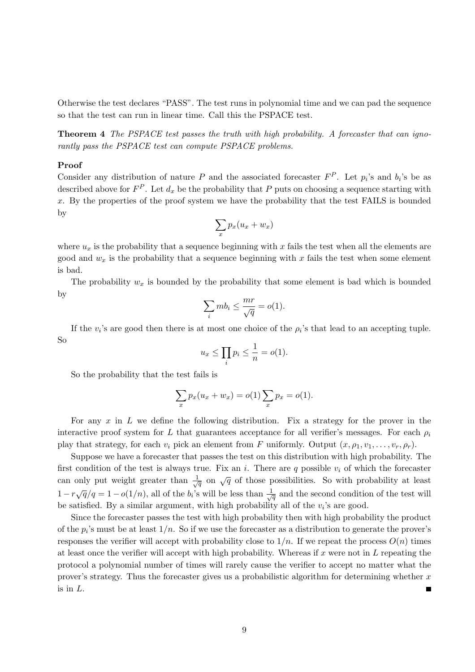Otherwise the test declares "PASS". The test runs in polynomial time and we can pad the sequence so that the test can run in linear time. Call this the PSPACE test.

Theorem 4 The PSPACE test passes the truth with high probability. A forecaster that can ignorantly pass the PSPACE test can compute PSPACE problems.

#### Proof

Consider any distribution of nature P and the associated forecaster  $F^P$ . Let  $p_i$ 's and  $b_i$ 's be as described above for  $F^P$ . Let  $d_x$  be the probability that P puts on choosing a sequence starting with  $x$ . By the properties of the proof system we have the probability that the test FAILS is bounded by

$$
\sum_x p_x (u_x + w_x)
$$

where  $u_x$  is the probability that a sequence beginning with x fails the test when all the elements are good and  $w_x$  is the probability that a sequence beginning with x fails the test when some element is bad.

The probability  $w_x$  is bounded by the probability that some element is bad which is bounded by

$$
\sum_i mb_i \le \frac{mr}{\sqrt{q}} = o(1).
$$

If the  $v_i$ 's are good then there is at most one choice of the  $\rho_i$ 's that lead to an accepting tuple. So

$$
u_x \le \prod_i p_i \le \frac{1}{n} = o(1).
$$

So the probability that the test fails is

$$
\sum_{x} p_x (u_x + w_x) = o(1) \sum_{x} p_x = o(1).
$$

For any  $x$  in  $L$  we define the following distribution. Fix a strategy for the prover in the interactive proof system for L that guarantees acceptance for all verifier's messages. For each  $\rho_i$ play that strategy, for each  $v_i$  pick an element from F uniformly. Output  $(x, \rho_1, v_1, \ldots, v_r, \rho_r)$ .

Suppose we have a forecaster that passes the test on this distribution with high probability. The first condition of the test is always true. Fix an i. There are q possible  $v_i$  of which the forecaster can only put weight greater than  $\frac{1}{\sqrt{q}}$  on  $\sqrt{q}$  of those possibilities. So with probability at least  $1-r\sqrt{q}/q=1-o(1/n)$ , all of the  $b_i$ 's will be less than  $\frac{1}{\sqrt{q}}$  and the second condition of the test will be satisfied. By a similar argument, with high probability all of the  $v_i$ 's are good.

Since the forecaster passes the test with high probability then with high probability the product of the  $p_i$ 's must be at least  $1/n$ . So if we use the forecaster as a distribution to generate the prover's responses the verifier will accept with probability close to  $1/n$ . If we repeat the process  $O(n)$  times at least once the verifier will accept with high probability. Whereas if x were not in  $L$  repeating the protocol a polynomial number of times will rarely cause the verifier to accept no matter what the prover's strategy. Thus the forecaster gives us a probabilistic algorithm for determining whether  $x$ is in L.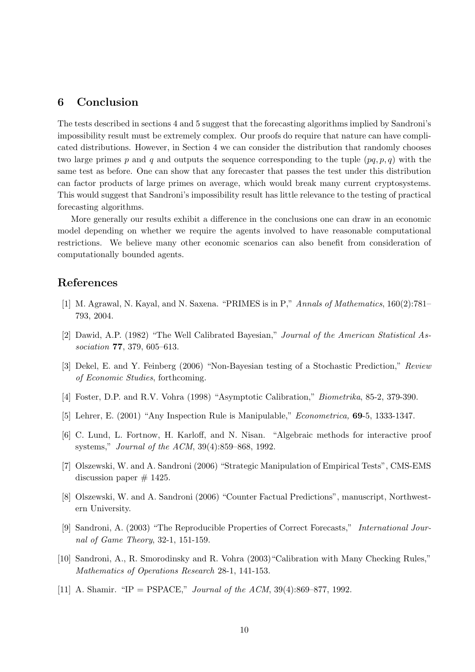# 6 Conclusion

The tests described in sections 4 and 5 suggest that the forecasting algorithms implied by Sandroni's impossibility result must be extremely complex. Our proofs do require that nature can have complicated distributions. However, in Section 4 we can consider the distribution that randomly chooses two large primes p and q and outputs the sequence corresponding to the tuple  $(pq, p, q)$  with the same test as before. One can show that any forecaster that passes the test under this distribution can factor products of large primes on average, which would break many current cryptosystems. This would suggest that Sandroni's impossibility result has little relevance to the testing of practical forecasting algorithms.

More generally our results exhibit a difference in the conclusions one can draw in an economic model depending on whether we require the agents involved to have reasonable computational restrictions. We believe many other economic scenarios can also benefit from consideration of computationally bounded agents.

## References

- [1] M. Agrawal, N. Kayal, and N. Saxena. "PRIMES is in P," Annals of Mathematics, 160(2):781– 793, 2004.
- [2] Dawid, A.P. (1982) "The Well Calibrated Bayesian," Journal of the American Statistical Association 77, 379, 605–613.
- [3] Dekel, E. and Y. Feinberg (2006) "Non-Bayesian testing of a Stochastic Prediction," Review of Economic Studies, forthcoming.
- [4] Foster, D.P. and R.V. Vohra (1998) "Asymptotic Calibration," Biometrika, 85-2, 379-390.
- [5] Lehrer, E. (2001) "Any Inspection Rule is Manipulable," Econometrica, 69-5, 1333-1347.
- [6] C. Lund, L. Fortnow, H. Karloff, and N. Nisan. "Algebraic methods for interactive proof systems," Journal of the ACM, 39(4):859–868, 1992.
- [7] Olszewski, W. and A. Sandroni (2006) "Strategic Manipulation of Empirical Tests", CMS-EMS discussion paper  $# 1425$ .
- [8] Olszewski, W. and A. Sandroni (2006) "Counter Factual Predictions", manuscript, Northwestern University.
- [9] Sandroni, A. (2003) "The Reproducible Properties of Correct Forecasts," International Journal of Game Theory, 32-1, 151-159.
- [10] Sandroni, A., R. Smorodinsky and R. Vohra (2003)"Calibration with Many Checking Rules," Mathematics of Operations Research 28-1, 141-153.
- [11] A. Shamir. "IP = PSPACE," *Journal of the ACM*,  $39(4):869-877$ , 1992.